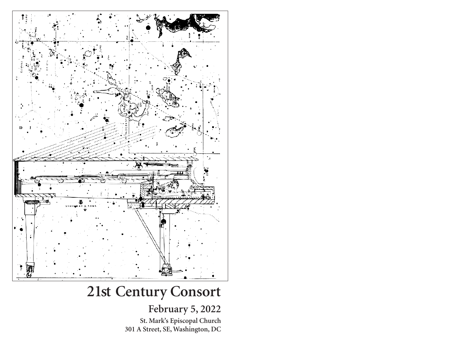

# **21st Century Consort**

## **February 5, 2022**

**St. Mark's Episcopal Church 301 A Street, SE, Washington, DC**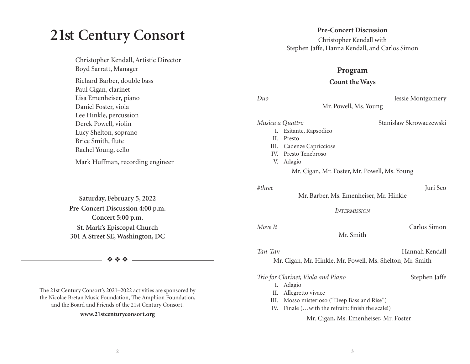# **21st Century Consort**

Christopher Kendall, Artistic Director Boyd Sarratt, Manager Richard Barber, double bass Paul Cigan, clarinet Lisa Emenheiser, piano Daniel Foster, viola Lee Hinkle, percussion Derek Powell, violin Lucy Shelton, soprano Brice Smith, flute Rachel Young, cello Mark Huffman, recording engineer

**Saturday, February 5, 2022 Pre-Concert Discussion 4:00 p.m. Concert 5:00 p.m. St. Mark's Episcopal Church 301 A Street SE, Washington, DC** 

❖ ❖ ❖

The 21st Century Consort's 2021–2022 activities are sponsored by the Nicolae Bretan Music Foundation, The Amphion Foundation, and the Board and Friends of the 21st Century Consort.

### **www.21stcenturyconsort.org**

### **Pre-Concert Discussion**

Christopher Kendall with Stephen Jaffe, Hanna Kendall, and Carlos Simon

### **Program**

### **Count the Ways**

*Duo* Jessie Montgomery

Mr. Powell, Ms. Young

### *Musica a Quattro* Stanislaw Skrowaczewski

- I. Esitante, Rapsodico
- II. Presto
- III. Cadenze Capricciose
- IV. Presto Tenebroso
- V. Adagio

Mr. Cigan, Mr. Foster, Mr. Powell, Ms. Young

### *#three* Juri Seo

Mr. Barber, Ms. Emenheiser, Mr. Hinkle

*INTERMISSION*

Mr. Smith

| Move It | Carlos Simon |
|---------|--------------|
|         |              |

*Tan-Tan* Hannah Kendall

Mr. Cigan, Mr. Hinkle, Mr. Powell, Ms. Shelton, Mr. Smith

*Trio for Clarinet, Viola and Piano* Stephen Jaffe

- I. Adagio
- II. Allegretto vivace
- III. Mosso misterioso ("Deep Bass and Rise")
- IV. Finale (…with the refrain: finish the scale!)

Mr. Cigan, Ms. Emenheiser, Mr. Foster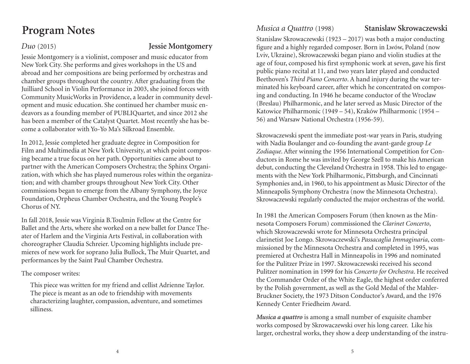# **Program Notes**

### *Duo* (2015) **Jessie Montgomery**

Jessie Montgomery is a violinist, composer and music educator from New York City. She performs and gives workshops in the US and abroad and her compositions are being performed by orchestras and chamber groups throughout the country. After graduating from the Juilliard School in Violin Performance in 2003, she joined forces with Community MusicWorks in Providence, a leader in community development and music education. She continued her chamber music endeavors as a founding member of PUBLIQuartet, and since 2012 she has been a member of the Catalyst Quartet. Most recently she has become a collaborator with Yo-Yo Ma's Silkroad Ensemble.

In 2012, Jessie completed her graduate degree in Composition for Film and Multimedia at New York University, at which point composing became a true focus on her path. Opportunities came about to partner with the American Composers Orchestra; the Sphinx Organization, with which she has played numerous roles within the organization; and with chamber groups throughout New York City. Other commissions began to emerge from the Albany Symphony, the Joyce Foundation, Orpheus Chamber Orchestra, and the Young People's Chorus of NY.

In fall 2018, Jessie was Virginia B.Toulmin Fellow at the Centre for Ballet and the Arts, where she worked on a new ballet for Dance Theater of Harlem and the Virginia Arts Festival, in collaboration with choreographer Claudia Schreier. Upcoming highlights include premieres of new work for soprano Julia Bullock, The Muir Quartet, and performances by the Saint Paul Chamber Orchestra.

The composer writes:

This piece was written for my friend and cellist Adrienne Taylor. The piece is meant as an ode to friendship with movements characterizing laughter, compassion, adventure, and sometimes silliness.

*Musica a Quattro* (1998) **Stanislaw Skrowaczewski**

Stanislaw Skrowaczewski (1923 – 2017) was both a major conducting figure and a highly regarded composer. Born in Lwów, Poland (now Lviv, Ukraine), Skrowaczewski began piano and violin studies at the age of four, composed his first symphonic work at seven, gave his first public piano recital at 11, and two years later played and conducted Beethoven's *Third Piano Concerto*. A hand injury during the war terminated his keyboard career, after which he concentrated on composing and conducting. In 1946 he became conductor of the Wroclaw (Breslau) Philharmonic, and he later served as Music Director of the Katowice Philharmonic (1949 – 54), Kraków Philharmonic (1954 – 56) and Warsaw National Orchestra (1956-59).

Skrowaczewski spent the immediate post-war years in Paris, studying with Nadia Boulanger and co-founding the avant-garde group *Le Zodiaque*. After winning the 1956 International Competition for Conductors in Rome he was invited by George Szell to make his American debut, conducting the Cleveland Orchestra in 1958. This led to engagements with the New York Philharmonic, Pittsburgh, and Cincinnati Symphonies and, in 1960, to his appointment as Music Director of the Minneapolis Symphony Orchestra (now the Minnesota Orchestra). Skrowaczewski regularly conducted the major orchestras of the world.

In 1981 the American Composers Forum (then known as the Minnesota Composers Forum) commissioned the *Clarinet Concerto*, which Skrowaczewski wrote for Minnesota Orchestra principal clarinetist Joe Longo. Skrowaczewski's *Passacaglia Immaginaria*, commissioned by the Minnesota Orchestra and completed in 1995, was premiered at Orchestra Hall in Minneapolis in 1996 and nominated for the Pulitzer Prize in 1997. Skrowaczewski received his second Pulitzer nomination in 1999 for his *Concerto for Orchestra*. He received the Commander Order of the White Eagle, the highest order conferred by the Polish government, as well as the Gold Medal of the Mahler-Bruckner Society, the 1973 Ditson Conductor's Award, and the 1976 Kennedy Center Friedheim Award.

*Musica a quattro* is among a small number of exquisite chamber works composed by Skrowaczewski over his long career. Like his larger, orchestral works, they show a deep understanding of the instru-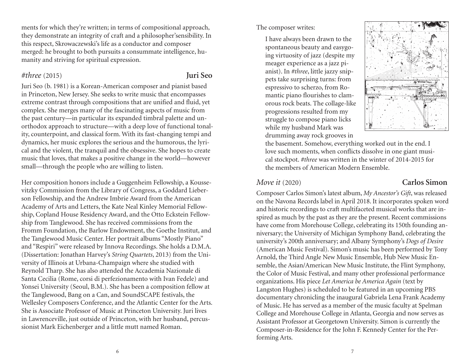ments for which they're written; in terms of compositional approach, they demonstrate an integrity of craft and a philosopher'sensibility. In this respect, Skrowaczewski's life as a conductor and composer merged: he brought to both pursuits a consummate intelligence, humanity and striving for spiritual expression.

### *#three* (2015) **Juri Seo**

Juri Seo (b. 1981) is a Korean-American composer and pianist based in Princeton, New Jersey. She seeks to write music that encompasses extreme contrast through compositions that are unified and fluid, yet complex. She merges many of the fascinating aspects of music from the past century—in particular its expanded timbral palette and unorthodox approach to structure—with a deep love of functional tonality, counterpoint, and classical form. With its fast-changing tempi and dynamics, her music explores the serious and the humorous, the lyrical and the violent, the tranquil and the obsessive. She hopes to create music that loves, that makes a positive change in the world—however small—through the people who are willing to listen.

Her composition honors include a Guggenheim Fellowship, a Koussevitzky Commission from the Library of Congress, a Goddard Lieberson Fellowship, and the Andrew Imbrie Award from the American Academy of Arts and Letters, the Kate Neal Kinley Memorial Fellowship, Copland House Residency Award, and the Otto Eckstein Fellowship from Tanglewood. She has received commissions from the Fromm Foundation, the Barlow Endowment, the Goethe Institut, and the Tanglewood Music Center. Her portrait albums "Mostly Piano" and "Respiri" were released by Innova Recordings. She holds a D.M.A. (Dissertation: Jonathan Harvey's *String Quartets*, 2013) from the University of Illinois at Urbana-Champaign where she studied with Reynold Tharp. She has also attended the Accademia Nazionale di Santa Cecilia (Rome, corsi di perfezionamento with Ivan Fedele) and Yonsei University (Seoul, B.M.). She has been a composition fellow at the Tanglewood, Bang on a Can, and SoundSCAPE festivals, the Wellesley Composers Conference, and the Atlantic Center for the Arts. She is Associate Professor of Music at Princeton University. Juri lives in Lawrenceville, just outside of Princeton, with her husband, percussionist Mark Eichenberger and a little mutt named Roman.

### The composer writes:

I have always been drawn to the spontaneous beauty and easygoing virtuosity of jazz (despite my meager experience as a jazz pianist). In *#three*, little jazzy snippets take surprising turns: from espressivo to scherzo, from Romantic piano flourishes to clamorous rock beats. The collage-like progressions resulted from my struggle to compose piano licks while my husband Mark was drumming away rock grooves in



the basement. Somehow, everything worked out in the end. I love such moments, when conflicts dissolve in one giant musical stockpot. *#three* was written in the winter of 2014-2015 for the members of American Modern Ensemble.

### *Move it* (2020) **Carlos Simon**

Composer Carlos Simon's latest album, *My Ancestor's Gift*, was released on the Navona Records label in April 2018. It incorporates spoken word and historic recordings to craft multifaceted musical works that are inspired as much by the past as they are the present. Recent commissions have come from Morehouse College, celebrating its 150th founding anniversary; the University of Michigan Symphony Band, celebrating the university's 200th anniversary; and Albany Symphony's *Dogs of Desire* (American Music Festival). Simon's music has been performed by Tony Arnold, the Third Angle New Music Ensemble, Hub New Music Ensemble, the Asian/American New Music Institute, the Flint Symphony, the Color of Music Festival, and many other professional performance organizations. His piece *Let America be America Again* (text by Langston Hughes) is scheduled to be featured in an upcoming PBS documentary chronicling the inaugural Gabriela Lena Frank Academy of Music. He has served as a member of the music faculty at Spelman College and Morehouse College in Atlanta, Georgia and now serves as Assistant Professor at Georgetown University. Simon is currently the Composer-in-Residence for the John F. Kennedy Center for the Performing Arts.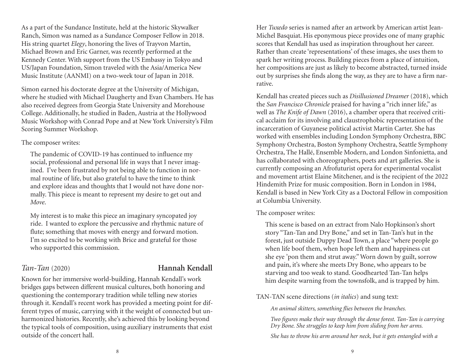As a part of the Sundance Institute, held at the historic Skywalker Ranch, Simon was named as a Sundance Composer Fellow in 2018. His string quartet *Elegy*, honoring the lives of Trayvon Martin, Michael Brown and Eric Garner, was recently performed at the Kennedy Center. With support from the US Embassy in Tokyo and US/Japan Foundation, Simon traveled with the Asia/America New Music Institute (AANMI) on a two-week tour of Japan in 2018.

Simon earned his doctorate degree at the University of Michigan, where he studied with Michael Daugherty and Evan Chambers. He has also received degrees from Georgia State University and Morehouse College. Additionally, he studied in Baden, Austria at the Hollywood Music Workshop with Conrad Pope and at New York University's Film Scoring Summer Workshop.

### The composer writes:

The pandemic of COVID-19 has continued to influence my social, professional and personal life in ways that I never imagined. I've been frustrated by not being able to function in normal routine of life, but also grateful to have the time to think and explore ideas and thoughts that I would not have done normally. This piece is meant to represent my desire to get out and *Move*.

My interest is to make this piece an imaginary syncopated joy ride. I wanted to explore the percussive and rhythmic nature of flute; something that moves with energy and forward motion. I'm so excited to be working with Brice and grateful for those who supported this commission.

### *Tan-Tan* (2020) **Hannah Kendall**

Known for her immersive world-building, Hannah Kendall's work bridges gaps between different musical cultures, both honoring and questioning the contemporary tradition while telling new stories through it. Kendall's recent work has provided a meeting point for different types of music, carrying with it the weight of connected but unharmonized histories. Recently, she's achieved this by looking beyond the typical tools of composition, using auxiliary instruments that exist outside of the concert hall.

Her *Tuxedo* series is named after an artwork by American artist Jean-Michel Basquiat. His eponymous piece provides one of many graphic scores that Kendall has used as inspiration throughout her career. Rather than create 'representations' of these images, she uses them to spark her writing process. Building pieces from a place of intuition, her compositions are just as likely to become abstracted, turned inside out by surprises she finds along the way, as they are to have a firm narrative.

Kendall has created pieces such as *Disillusioned Dreamer* (2018), which the *San Francisco Chronicle* praised for having a "rich inner life," as well as *The Knife of Dawn* (2016), a chamber opera that received critical acclaim for its involving and claustrophobic representation of the incarceration of Guyanese political activist Martin Carter. She has worked with ensembles including London Symphony Orchestra, BBC Symphony Orchestra, Boston Symphony Orchestra, Seattle Symphony Orchestra, The Hallé, Ensemble Modern, and London Sinfonietta, and has collaborated with choreographers, poets and art galleries. She is currently composing an Afrofuturist opera for experimental vocalist and movement artist Elaine Mitchener, and is the recipient of the 2022 Hindemith Prize for music composition. Born in London in 1984, Kendall is based in New York City as a Doctoral Fellow in composition at Columbia University.

### The composer writes:

This scene is based on an extract from Nalo Hopkinson's short story "Tan-Tan and Dry Bone," and set in Tan-Tan's hut in the forest, just outside Duppy Dead Town, a place "where people go when life boof them, when hope left them and happiness cut she eye 'pon them and strut away." Worn down by guilt, sorrow and pain, it's where she meets Dry Bone, who appears to be starving and too weak to stand. Goodhearted Tan-Tan helps him despite warning from the townsfolk, and is trapped by him.

TAN-TAN scene directions (*in italics*) and sung text:

*An animal skitters, something flies between the branches.* 

*Two figures make their way through the dense forest. Tan-Tan is carrying Dry Bone. She struggles to keep him from sliding from her arms.* 

*She has to throw his arm around her neck, but it gets entangled with a*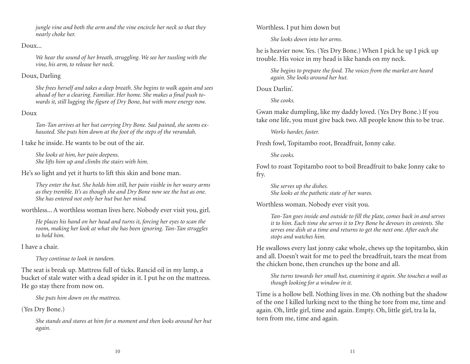*jungle vine and both the arm and the vine encircle her neck so that they nearly choke her.* 

### Doux...

*We hear the sound of her breath, struggling. We see her tussling with the vine, his arm, to release her neck.* 

### Doux, Darling

*She frees herself and takes a deep breath. She begins to walk again and sees ahead of her a clearing. Familiar. Her home. She makes a final push towards it, still lugging the figure of Dry Bone, but with more energy now.* 

### Doux

*Tan-Tan arrives at her hut carrying Dry Bone. Sad pained, she seems exhausted. She puts him down at the foot of the steps of the verandah.* 

I take he inside. He wants to be out of the air.

*She looks at him, her pain deepens. She lifts him up and climbs the stairs with him.* 

He's so light and yet it hurts to lift this skin and bone man.

*They enter the hut. She holds him still, her pain visible in her weary arms as they tremble. It's as though she and Dry Bone now see the hut as one. She has entered not only her hut but her mind.* 

worthless... A worthless woman lives here. Nobody ever visit you, girl.

*He places his hand on her head and turns it, forcing her eyes to scan the room, making her look at what she has been ignoring. Tan-Tan struggles to hold him.* 

I have a chair.

*They continue to look in tandem.* 

The seat is break up. Mattress full of ticks. Rancid oil in my lamp, a bucket of stale water with a dead spider in it. I put he on the mattress. He go stay there from now on.

*She puts him down on the mattress.* 

### (Yes Dry Bone.)

*She stands and stares at him for a moment and then looks around her hut again.* 

Worthless. I put him down but

*She looks down into her arms.* 

he is heavier now. Yes. (Yes Dry Bone.) When I pick he up I pick up trouble. His voice in my head is like hands on my neck.

*She begins to prepare the food. The voices from the market are heard again. She looks around her hut.* 

Doux Darlin'.

*She cooks.* 

Gwan make dumpling, like my daddy loved. (Yes Dry Bone.) If you take one life, you must give back two. All people know this to be true.

*Works harder, faster.* 

Fresh fowl, Topitambo root, Breadfruit, Jonny cake.

*She cooks.* 

Fowl to roast Topitambo root to boil Breadfruit to bake Jonny cake to fry.

*She serves up the dishes. She looks at the pathetic state of her wares.* 

Worthless woman. Nobody ever visit you.

*Tan-Tan goes inside and outside to fill the plate, comes back in and serves it to him. Each time she serves it to Dry Bone he devours its contents. She serves one dish at a time and returns to get the next one. After each she stops and watches him.* 

He swallows every last jonny cake whole, chews up the topitambo, skin and all. Doesn't wait for me to peel the breadfruit, tears the meat from the chicken bone, then crunches up the bone and all.

*She turns towards her small hut, examining it again. She touches a wall as though looking for a window in it.* 

Time is a hollow bell. Nothing lives in me. Oh nothing but the shadow of the one I killed lurking next to the thing he tore from me, time and again. Oh, little girl, time and again. Empty. Oh, little girl, tra la la, torn from me, time and again.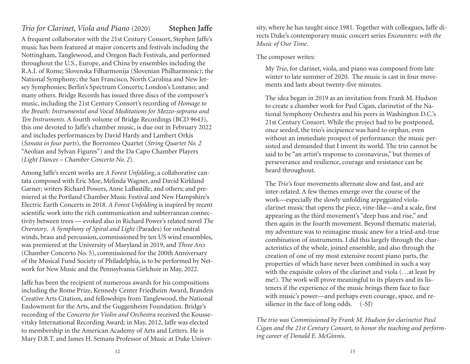### *Trio for Clarinet, Viola and Piano* (2020) **Stephen Jaffe**

A frequent collaborator with the 21st Century Consort, Stephen Jaffe's music has been featured at major concerts and festivals including the Nottingham, Tanglewood, and Oregon Bach Festivals, and performed throughout the U.S., Europe, and China by ensembles including the R.A.I. of Rome; Slovenska Filharmonija (Slovenian Philharmonic); the National Symphony; the San Francisco, North Carolina and New Jersey Symphonies; Berlin's Spectrum Concerts; London's Lontano; and many others. Bridge Records has issued three discs of the composer's music, including the 21st Century Consort's recording of *Homage to the Breath: Instrumental and Vocal Meditations for Mezzo-soprano and Ten Instruments*. A fourth volume of Bridge Recordings (BCD 9643), this one devoted to Jaffe's chamber music, is due out in February 2022 and includes performances by David Hardy and Lambert Orkis (*Sonata in four parts*), the Borromeo Quartet (*String Quartet No. 2* "Aeolian and Sylvan Figures") and the Da Capo Chamber Players (*Light Dances – Chamber Concerto No. 2*).

Among Jaffe's recent works are *A Forest Unfolding*, a collaborative cantata composed with Eric Moe, Melinda Wagner, and David Kirkland Garner; writers Richard Powers, Anne LaBastille, and others; and premiered at the Portland Chamber Music Festival and New Hampshire's Electric Earth Concerts in 2018. *A Forest Unfolding* is inspired by recent scientific work into the rich communication and subterranean connectivity between trees — evoked also in Richard Power's related novel *The Overstory*. *A Symphony of Spiral and Light* (Parades) for orchestral winds, brass and percussion, commissioned by ten US wind ensembles, was premiered at the University of Maryland in 2019, and *Three Arcs* (Chamber Concerto No. 5), commissioned for the 200th Anniversary of the Musical Fund Society of Philadelphia, is to be performed by Network for New Music and the Pennsylvania Girlchoir in May, 2022.

Jaffe has been the recipient of numerous awards for his compositions including the Rome Prize, Kennedy Center Friedheim Award, Brandeis Creative Arts Citation, and fellowships from Tanglewood, the National Endowment for the Arts, and the Guggenheim Foundation. Bridge's recording of the *Concerto for Violin and Orchestra* received the Koussevitsky International Recording Award; in May, 2012, Jaffe was elected to membership in the American Academy of Arts and Letters. He is Mary D.B.T. and James H. Semans Professor of Music at Duke University, where he has taught since 1981. Together with colleagues, Jaffe di rects Duke's contemporary music concert series *Encounters: with the Music of Our Time*.<br>The composer writes:<br>My *Trio*, for clarinet, viola, and piano was composed from late<br>winter to late summer of 2020. The music is cas

ments and lasts about twenty-five minutes.<br>The idea began in 2019 as an invitation from Frank M. Hudson<br>to create a chamber work for Paul Cigan, clarinetist of the National Symphony Orchestra and his peers in Washington D.C.'s<br>21st Century Consort. While the project had to be postponed,<br>once seeded, the trio's incipience was hard to orphan, even<br>without an immediate prospect of perform

sisted and demanded that I invent its world. The trio cannot be<br>said to be "an artist's response to coronavirus," but themes of<br>perseverance and resilience, courage and resistance can be<br>heard throughout.<br>The *Trio*'s four acteristics of the whole, joined ensemble, and also through the<br>creation of one of my most extensive recent piano parts, the<br>properties of which have never been combined in such a way<br>with the exquisite colors of the clari teners if the experience of the music brings them face to face with music's power—and perhaps even courage, space, and re silience in the face of long odds. (-SJ)

*The trio was Commissioned by Frank M. Hudson for clarinetist Paul Cigan and the 21st Century Consort, to honor the teaching and perform ing career of Donald E. McGinnis.*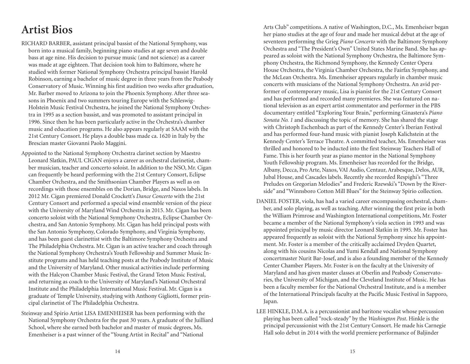## **Artist Bios**

- RICHARD BARBER, assistant principal bassist of the National Symphony, was born into a musical family, beginning piano studies at age seven and double bass at age nine. His decision to pursue music (and not science) as a career was made at age eighteen. That decision took him to Baltimore, where he studied with former National Symphony Orchestra principal bassist Harold Robinson, earning a bachelor of music degree in three years from the Peabody Conservatory of Music. Winning his first audition two weeks after graduation, Mr. Barber moved to Arizona to join the Phoenix Symphony. After three seasons in Phoenix and two summers touring Europe with the Schleswig-Holstein Music Festival Orchestra, he joined the National Symphony Orchestra in 1995 as a section bassist, and was promoted to assistant principal in 1996. Since then he has been particularly active in the Orchestra's chamber music and education programs. He also appears regularly at SAAM with the 21st Century Consort. He plays a double bass made ca. 1620 in Italy by the Brescian master Giovanni Paolo Maggini.
- Appointed to the National Symphony Orchestra clarinet section by Maestro Leonard Slatkin, PAUL CIGAN enjoys a career as orchestral clarinetist, chamber musician, teacher and concerto soloist. In addition to the NSO, Mr. Cigan can frequently be heard performing with the 21st Century Consort, Eclipse Chamber Orchestra, and the Smithsonian Chamber Players as well as on recordings with those ensembles on the Dorian, Bridge, and Naxos labels. In 2012 Mr. Cigan premiered Donald Crockett's *Dance Concerto* with the 21st Century Consort and performed a special wind ensemble version of the piece with the University of Maryland Wind Orchestra in 2015. Mr. Cigan has been concerto soloist with the National Symphony Orchestra, Eclipse Chamber Orchestra, and San Antonio Symphony. Mr. Cigan has held principal posts with the San Antonio Symphony, Colorado Symphony, and Virginia Symphony, and has been guest clarinettist with the Baltimore Symphony Orchestra and The Philadelphia Orchestra. Mr. Cigan is an active teacher and coach through the National Symphony Orchestra's Youth Fellowship and Summer Music Institute programs and has held teaching posts at the Peabody Institute of Music and the University of Maryland. Other musical activities include performing with the Halcyon Chamber Music Festival, the Grand Teton Music Festival, and returning as coach to the University of Maryland's National Orchestral Institute and the Philadelphia International Music Festival. Mr. Cigan is a graduate of Temple University, studying with Anthony Gigliotti, former principal clarinetist of The Philadelphia Orchestra.
- Steinway and Spirio Artist LISA EMENHEISER has been performing with the National Symphony Orchestra for the past 30 years. A graduate of the Juilliard School, where she earned both bachelor and master of music degrees, Ms. Emenheiser is a past winner of the "Young Artist in Recital" and "National

Arts Club" competitions. A native of Washington, D.C., Ms. Emenheiser began her piano studies at the age of four and made her musical debut at the age of seventeen performing the Grieg *Piano Concerto* with the Baltimore Symphony Orchestra and "The President's Own" United States Marine Band. She has appeared as soloist with the National Symphony Orchestra, the Baltimore Symphony Orchestra, the Richmond Symphony, the Kennedy Center Opera House Orchestra, the Virginia Chamber Orchestra, the Fairfax Symphony, and the McLean Orchestra. Ms. Emenheiser appears regularly in chamber music concerts with musicians of the National Symphony Orchestra. An avid performer of contemporary music, Lisa is pianist for the 21st Century Consort and has performed and recorded many premieres. She was featured on national television as an expert artist commentator and performer in the PBS documentary entitled "Exploring Your Brain," performing Ginastera's *Piano Sonata No. 1* and discussing the topic of memory. She has shared the stage with Christoph Eschenbach as part of the Kennedy Center's Iberian Festival and has performed four-hand music with pianist Joseph Kalichstein at the Kennedy Center's Terrace Theatre. A committed teacher, Ms. Emenheiser was thrilled and honored to be inducted into the first Steinway Teachers Hall of Fame. This is her fourth year as piano mentor in the National Symphony Youth Fellowship program. Ms. Emenheiser has recorded for the Bridge, Albany, Decca, Pro Arte, Naxos, VAI Audio, Centaur, Arabesque, Delos, AUR, Jubal House, and Cascades labels. Recently she recorded Respighi's "Three Preludes on Gregorian Melodies" and Frederic Rzewski's "Down by the Riverside" and "Winnsboro Cotton Mill Blues" for the Steinway Spirio collection.

- DANIEL FOSTER, viola, has had a varied career encompassing orchestral, chamber, and solo playing, as well as teaching. After winning the first prize in both the William Primrose and Washington International competitions, Mr. Foster became a member of the National Symphony's viola section in 1993 and was appointed principal by music director Leonard Slatkin in 1995. Mr. Foster has appeared frequently as soloist with the National Symphony since his appointment. Mr. Foster is a member of the critically acclaimed Dryden Quartet, along with his cousins Nicolas and Yumi Kendall and National Symphony concertmaster Nurit Bar-Josef, and is also a founding member of the Kennedy Center Chamber Players. Mr. Foster is on the faculty at the University of Maryland and has given master classes at Oberlin and Peabody Conservatories, the University of Michigan, and the Cleveland Institute of Music. He has been a faculty member for the National Orchestral Institute, and is a member of the International Principals faculty at the Pacific Music Festival in Sapporo, Japan.
- LEE HINKLE, D.M.A. is a percussionist and baritone vocalist whose percussion playing has been called "rock-steady" by the *Washington Post*. Hinkle is the principal percussionist with the 21st Century Consort. He made his Carnegie Hall solo debut in 2014 with the world premiere performance of Baljinder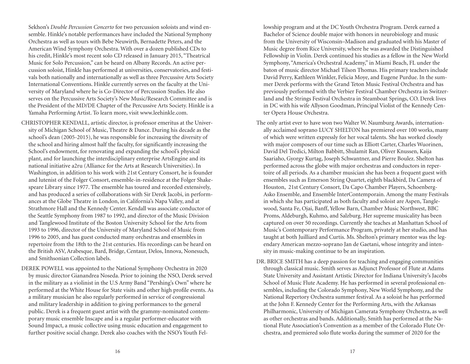Sekhon's *Double Percussion Concerto* for two percussion soloists and wind ensemble. Hinkle's notable performances have included the National Symphony Orchestra as well as tours with Bebe Neuwirth, Bernadette Peters, and the American Wind Symphony Orchestra. With over a dozen published CDs to his credit, Hinkle's most recent solo CD released in January 2015, "Theatrical Music for Solo Percussion," can be heard on Albany Records. An active percussion soloist, Hinkle has performed at universities, conservatories, and festivals both nationally and internationally as well as three Percussive Arts Society International Conventions. Hinkle currently serves on the faculty at the University of Maryland where he is Co-Director of Percussion Studies. He also serves on the Percussive Arts Society's New Music/Research Committee and is the President of the MD/DE Chapter of the Percussive Arts Society. Hinkle is a Yamaha Performing Artist. To learn more, visit www.leehinkle.com.

- CHRISTOPHER KENDALL, artistic director, is professor emeritus at the University of Michigan School of Music, Theatre & Dance. During his decade as the school's dean (2005-2015), he was responsible for increasing the diversity of the school and hiring almost half the faculty, for significantly increasing the School's endowment, for renovating and expanding the school's physical plant, and for launching the interdisciplinary enterprise ArtsEngine and its national initiative a2ru (Alliance for the Arts at Research Universities). In Washington, in addition to his work with 21st Century Consort, he is founder and lutenist of the Folger Consort, ensemble-in-residence at the Folger Shakespeare Library since 1977. The ensemble has toured and recorded extensively, and has produced a series of collaborations with Sir Derek Jacobi, in performances at the Globe Theatre in London, in California's Napa Valley, and at Strathmore Hall and the Kennedy Center. Kendall was associate conductor of the Seattle Symphony from 1987 to 1992, and director of the Music Division and Tanglewood Institute of the Boston University School for the Arts from 1993 to 1996, director of the University of Maryland School of Music from 1996 to 2005, and has guest conducted many orchestras and ensembles in repertoire from the 18th to the 21st centuries. His recordings can be heard on the British ASV, Arabesque, Bard, Bridge, Centaur, Delos, Innova, Nonesuch, and Smithsonian Collection labels.
- DEREK POWELL was appointed to the National Symphony Orchestra in 2020 by music director Gianandrea Noseda. Prior to joining the NSO, Derek served in the military as a violinist in the U.S Army Band "Pershing's Own" where he performed at the White House for State visits and other high profile events. As a military musician he also regularly performed in service of congressional and military leadership in addition to giving performances to the general public. Derek is a frequent guest artist with the grammy-nominated contemporary music ensemble Inscape and is a regular performer-educator with Sound Impact, a music collective using music education and engagement to further positive social change. Derek also coaches with the NSO's Youth Fel-

lowship program and at the DC Youth Orchestra Program. Derek earned a Bachelor of Science double major with honors in neurobiology and music from the University of Wisconsin–Madison and graduated with his Master of Music degree from Rice University, where he was awarded the Distinguished Fellowship in Violin. Derek continued his studies as a fellow in the New World Symphony, "America's Orchestral Academy," in Miami Beach, FL under the baton of music director Michael Tilson Thomas. His primary teachers include David Perry, Kathleen Winkler, Felicia Moye, and Eugene Purdue. In the summer Derek performs with the Grand Teton Music Festival Orchestra and has previously performed with the Verbier Festival Chamber Orchestra in Switzerland and the Strings Festival Orchestra in Steamboat Springs, CO. Derek lives in DC with his wife Allyson Goodman, Principal Violist of the Kennedy Center Opera House Orchestra.

- The only artist ever to have won two Walter W. Naumburg Awards, internationally acclaimed soprano LUCY SHELTON has premiered over 100 works, many of which were written expressly for her vocal talents. She has worked closely with major composers of our time such as Elliott Carter, Charles Wuorinen, David Del Tredici, Milton Babbitt, Shulamit Ran, Oliver Knussen, Kaija Saariaho, Gyorgy Kurtag, Joseph Schwantner, and Pierre Boulez. Shelton has performed across the globe with major orchestras and conductors in repertoire of all periods. As a chamber musician she has been a frequent guest with ensembles such as Emerson String Quartet, eighth blackbird, Da Camera of Houston, 21st Century Consort, Da Capo Chamber Players, Schoenberg-Asko Ensemble, and Ensemble InterContemporain. Among the many Festivals in which she has participated as both faculty and soloist are Aspen, Tanglewood, Santa Fe, Ojai, Banff, Yellow Barn, Chamber Music Northwest, BBC Proms, Aldeburgh, Kuhmo, and Salzburg. Her supreme musicality has been captured on over 50 recordings. Currently she teaches at Manhattan School of Music's Contemporary Performance Program, privately at her studio, and has taught at both Juilliard and Curtis. Ms. Shelton's primary mentor was the legendary American mezzo-soprano Jan de Gaetani, whose integrity and intensity in music-making continue to be an inspiration.
- DR. BRICE SMITH has a deep passion for teaching and engaging communities through classical music. Smith serves as Adjunct Professor of Flute at Adams State University and Assistant Artistic Director for Indiana University's Jacobs School of Music Flute Academy. He has performed in several professional ensembles, including the Colorado Symphony, New World Symphony, and the National Repertory Orchestra summer festival. As a soloist he has performed at the John F. Kennedy Center for the Performing Arts, with the Arkansas Philharmonic, University of Michigan Camerata Symphony Orchestra, as well as other orchestras and bands. Additionally, Smith has performed at the National Flute Association's Convention as a member of the Colorado Flute Orchestra, and premiered solo flute works during the summer of 2020 for the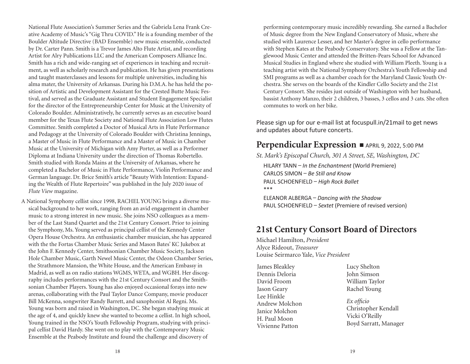National Flute Association's Summer Series and the Gabriela Lena Frank Creative Academy of Music's "Gig Thru COVID." He is a founding member of the Boulder Altitude Directive (BAD Ensemble) new music ensemble, conducted by Dr. Carter Pann. Smith is a Trevor James Alto Flute Artist, and recording Artist for Alry Publications LLC and the American Composers Alliance Inc. Smith has a rich and wide-ranging set of experiences in teaching and recruitment, as well as scholarly research and publication. He has given presentations and taught masterclasses and lessons for multiple universities, including his alma mater, the University of Arkansas. During his D.M.A. he has held the position of Artistic and Development Assistant for the Crested Butte Music Festival, and served as the Graduate Assistant and Student Engagement Specialist for the director of the Entrepreneurship Center for Music at the University of Colorado Boulder. Administratively, he currently serves as an executive board member for the Texas Flute Society and National Flute Association Low Flutes Committee. Smith completed a Doctor of Musical Arts in Flute Performance and Pedagogy at the University of Colorado Boulder with Christina Jennings, a Master of Music in Flute Performance and a Master of Music in Chamber Music at the University of Michigan with Amy Porter, as well as a Performer Diploma at Indiana University under the direction of Thomas Robertello. Smith studied with Ronda Mains at the University of Arkansas, where he completed a Bachelor of Music in Flute Performance, Violin Performance and German language. Dr. Brice Smith's article "Beauty With Intention: Expanding the Wealth of Flute Repertoire" was published in the July 2020 issue of *Flute View* magazine.

A National Symphony cellist since 1998, RACHEL YOUNG brings a diverse musical background to her work, ranging from an avid engagement in chamber music to a strong interest in new music. She joins NSO colleagues as a member of the Last Stand Quartet and the 21st Century Consort. Prior to joining the Symphony, Ms. Young served as principal cellist of the Kennedy Center Opera House Orchestra. An enthusiastic chamber musician, she has appeared with the the Fortas Chamber Music Series and Mason Bates' KC Jukebox at the John F. Kennedy Center, Smithsonian Chamber Music Society, Jackson Hole Chamber Music, Garth Newel Music Center, the Odeon Chamber Series, the Strathmore Mansion, the White House, and the American Embassy in Madrid, as well as on radio stations WGMS, WETA, and WGBH. Her discography includes performances with the 21st Century Consort and the Smithsonian Chamber Players. Young has also enjoyed occasional forays into new arenas, collaborating with the Paul Taylor Dance Company, movie producer Bill McKenna, songwriter Randy Barrett, and saxophonist Al Regni. Ms. Young was born and raised in Washington, DC. She began studying music at the age of 4, and quickly knew she wanted to become a cellist. In high school, Young trained in the NSO's Youth Fellowship Program, studying with principal cellist David Hardy. She went on to play with the Contemporary Music Ensemble at the Peabody Institute and found the challenge and discovery of

performing contemporary music incredibly rewarding. She earned a Bachelor of Music degree from the New England Conservatory of Music, where she studied with Laurence Lesser, and her Master's degree in cello performance with Stephen Kates at the Peabody Conservatory. She was a Fellow at the Tanglewood Music Center and attended the Britten-Pears School for Advanced Musical Studies in England where she studied with William Pleeth. Young is a teaching artist with the National Symphony Orchestra's Youth Fellowship and SMI programs as well as a chamber coach for the Maryland Classic Youth Orchestra. She serves on the boards of the Kindler Cello Society and the 21st Century Consort. She resides just outside of Washington with her husband, bassist Anthony Manzo, their 2 children, 3 basses, 3 cellos and 3 cats. She often commutes to work on her bike.

Please sign up for our e-mail list at focuspull.in/21mail to get news and updates about future concerts.

### **Perpendicular Expression •** APRIL 9, 2022, 5:00 PM

*St. Mark's Episcopal Church, 301 A Street, SE, Washington, DC*

HILARY TANN – *In the Enchantment* (World Premiere) CARLOS SIMON – *Be Still and Know* PAUL SCHOENFIELD – *High Rock Ballet* \*\*\*

ELEANOR ALBERGA – *Dancing with the Shadow*  PAUL SCHOENFIELD – *Sextet* (Premiere of revised version)

### **21st Century Consort Board of Directors**

Michael Hamilton, *President* Alyce Rideout, *Treasurer*  Louise Seirmarco Yale, *Vice President*

James Bleakley Dennis Deloria David Froom Jason Geary Lee Hinkle Andrew Molchon Janice Molchon H. Paul Moon Vivienne Patton

Lucy Shelton John Simson William Taylor Rachel Young

*Ex officio*  Christopher Kendall Vicki O'Reilly Boyd Sarratt, Manager